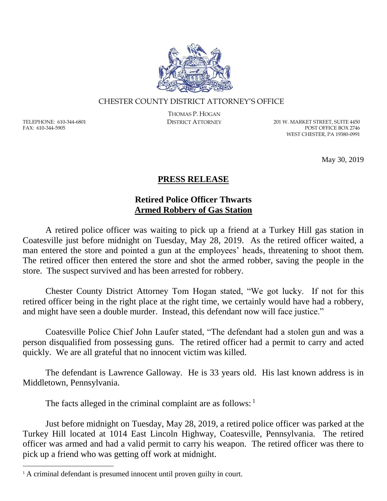

## CHESTER COUNTY DISTRICT ATTORNEY'S OFFICE

TELEPHONE: 610-344-6801 FAX: 610-344-5905

 $\overline{a}$ 

THOMAS P. HOGAN

DISTRICT ATTORNEY 201 W. MARKET STREET, SUITE 4450 POST OFFICE BOX 2746 WEST CHESTER, PA 19380-0991

May 30, 2019

## **PRESS RELEASE**

## **Retired Police Officer Thwarts Armed Robbery of Gas Station**

A retired police officer was waiting to pick up a friend at a Turkey Hill gas station in Coatesville just before midnight on Tuesday, May 28, 2019. As the retired officer waited, a man entered the store and pointed a gun at the employees' heads, threatening to shoot them. The retired officer then entered the store and shot the armed robber, saving the people in the store. The suspect survived and has been arrested for robbery.

Chester County District Attorney Tom Hogan stated, "We got lucky. If not for this retired officer being in the right place at the right time, we certainly would have had a robbery, and might have seen a double murder. Instead, this defendant now will face justice."

Coatesville Police Chief John Laufer stated, "The defendant had a stolen gun and was a person disqualified from possessing guns. The retired officer had a permit to carry and acted quickly. We are all grateful that no innocent victim was killed.

The defendant is Lawrence Galloway. He is 33 years old. His last known address is in Middletown, Pennsylvania.

The facts alleged in the criminal complaint are as follows:  $1$ 

Just before midnight on Tuesday, May 28, 2019, a retired police officer was parked at the Turkey Hill located at 1014 East Lincoln Highway, Coatesville, Pennsylvania. The retired officer was armed and had a valid permit to carry his weapon. The retired officer was there to pick up a friend who was getting off work at midnight.

<sup>&</sup>lt;sup>1</sup> A criminal defendant is presumed innocent until proven guilty in court.